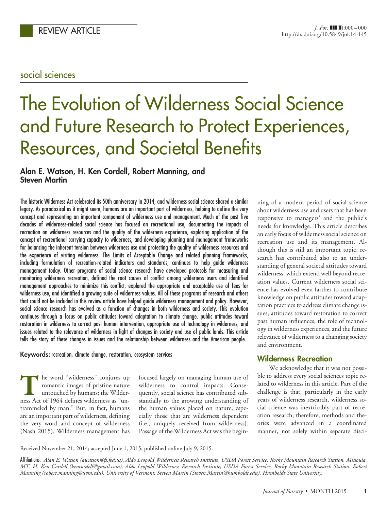# social sciences

# The Evolution of Wilderness Social Science and Future Research to Protect Experiences, Resources, and Societal Benefits

# **Alan E. Watson, H. Ken Cordell, Robert Manning, and Steven Martin**

The historic Wilderness Act celebrated its 50th anniversary in 2014, and wilderness social science shared a similar legacy. As paradoxical as it might seem, humans are an important part of wilderness, helping to define the very concept and representing an important component of wilderness use and management. Much of the past five decades of wilderness-related social science has focused on recreational use, documenting the impacts of recreation on wilderness resources and the quality of the wilderness experience, exploring application of the concept of recreational carrying capacity to wilderness, and developing planning and management frameworks for balancing the inherent tension between wilderness use and protecting the quality of wilderness resources and the experience of visiting wilderness. The Limits of Acceptable Change and related planning frameworks, including formulation of recreation-related indicators and standards, continues to help guide wilderness management today. Other programs of social science research have developed protocols for measuring and monitoring wilderness recreation, defined the root causes of conflict among wilderness users and identified management approaches to minimize this conflict, explored the appropriate and acceptable use of fees for wilderness use, and identified a growing suite of wilderness values. All of these programs of research and others that could not be included in this review article have helped guide wilderness management and policy. However, social science research has evolved as a function of changes in both wilderness and society. This evolution continues through a focus on public attitudes toward adaptation to climate change, public attitudes toward restoration in wilderness to correct past human intervention, appropriate use of technology in wilderness, and issues related to the relevance of wilderness in light of changes in society and use of public lands. This article tells the story of these changes in issues and the relationship between wilderness and the American people.

## **Keywords:** recreation, climate change, restoration, ecosystem services

The word "wilderness" conjures up<br>
ness Act of 1964 defines wilderness as "unromantic images of pristine nature untouched by humans; the Wildertrammeled by man." But, in fact, humans are an important part of wilderness, defining the very word and concept of wilderness (Nash 2015). Wilderness management has focused largely on managing human use of wilderness to control impacts. Consequently, social science has contributed substantially to the growing understanding of the human values placed on nature, especially those that are wilderness dependent (i.e., uniquely received from wilderness). Passage of the Wilderness Act was the beginning of a modern period of social science about wilderness use and users that has been responsive to managers' and the public's needs for knowledge. This article describes an early focus of wilderness social science on recreation use and its management. Although this is still an important topic, research has contributed also to an understanding of general societal attitudes toward wilderness, which extend well beyond recreation values. Current wilderness social science has evolved even farther to contribute knowledge on public attitudes toward adaptation practices to address climate change issues, attitudes toward restoration to correct past human influences, the role of technology in wilderness experiences, and the future relevance of wilderness to a changing society and environment.

# **Wilderness Recreation**

We acknowledge that it was not possible to address every social sciences topic related to wilderness in this article. Part of the challenge is that, particularly in the early years of wilderness research, wilderness social science was inextricably part of recreation research; therefore, methods and theories were advanced in a coordinated manner, not solely within separate disci-

Received November 21, 2014; accepted June 1, 2015; published online July 9, 2015.

Affiliations: *Alan E. Watson [\(awatson@fs.fed.us\)](mailto:awatson[@000f]s.fed.us), Aldo Leopold Wilderness Research Institute, USDA Forest Service, Rocky Mountain Research Station, Missoula, MT. H. Ken Cordell [\(kencordell@gmail.com\)](mailto:kencordellgmail.com), Aldo Leopold Wilderness Research Institute, USDA Forest Service, Rocky Mountain Research Station. Robert Manning (robert.manning@uvm.edu), University of Vermont. Steven Martin (Steven.Martin@humboldt.edu), Humboldt State University.*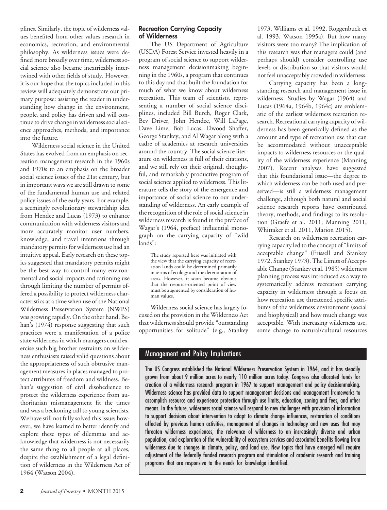plines. Similarly, the topic of wilderness values benefited from other values research in economics, recreation, and environmental philosophy. As wilderness issues were defined more broadly over time, wilderness social science also became inextricably intertwined with other fields of study. However, it is our hope that the topics included in this review will adequately demonstrate our primary purpose: assisting the reader in understanding how change in the environment, people, and policy has driven and will continue to drive change in wilderness social science approaches, methods, and importance into the future.

Wilderness social science in the United States has evolved from an emphasis on recreation management research in the 1960s and 1970s to an emphasis on the broader social science issues of the 21st century, but in important ways we are still drawn to some of the fundamental human use and related policy issues of the early years. For example, a seemingly revolutionary stewardship idea from Hendee and Lucas (1973) to enhance communication with wilderness visitors and more accurately monitor user numbers, knowledge, and travel intentions through mandatory permits for wilderness use had an intuitive appeal. Early research on these topics suggested that mandatory permits might be the best way to control many environmental and social impacts and rationing use through limiting the number of permits offered a possibility to protect wilderness characteristics at a time when use of the National Wilderness Preservation System (NWPS) was growing rapidly. On the other hand, Behan's (1974) response suggesting that such practices were a manifestation of a police state wilderness in which managers could exercise such big brother restraints on wilderness enthusiasts raised valid questions about the appropriateness of such obtrusive management measures in places managed to protect attributes of freedom and wildness. Behan's suggestion of civil disobedience to protect the wilderness experience from authoritarian mismanagement fit the times and was a beckoning call to young scientists. We have still not fully solved this issue; however, we have learned to better identify and explore these types of dilemmas and acknowledge that wilderness is not necessarily the same thing to all people at all places, despite the establishment of a legal definition of wilderness in the Wilderness Act of 1964 (Watson 2004).

# **Recreation Carrying Capacity of Wilderness**

The US Department of Agriculture (USDA) Forest Service invested heavily in a program of social science to support wilderness management decisionmaking beginning in the 1960s, a program that continues to this day and that built the foundation for much of what we know about wilderness recreation. This team of scientists, representing a number of social science disciplines, included Bill Burch, Roger Clark, Bev Driver, John Hendee, Will LaPage, Dave Lime, Bob Lucas, Elwood Shaffer, George Stankey, and Al Wagar along with a cadre of academics at research universities around the country. The social science literature on wilderness is full of their citations, and we still rely on their original, thoughtful, and remarkably productive program of social science applied to wilderness. This literature tells the story of the emergence and importance of social science to our understanding of wilderness. An early example of the recognition of the role of social science in wilderness research is found in the preface of Wagar's (1964, preface) influential monograph on the carrying capacity of "wild lands":

> The study reported here was initiated with the view that the carrying capacity of recreation lands could be determined primarily in terms of ecology and the deterioration of areas. However, it soon became obvious that the resource-oriented point of view must be augmented by consideration of human values.

Wilderness social science has largely focused on the provision in the Wilderness Act that wilderness should provide "outstanding opportunities for solitude" (e.g., Stankey

1973, Williams et al. 1992, Roggenbuck et al. 1993, Watson 1995a). But how many visitors were too many? The implication of this research was that managers could (and perhaps should) consider controlling use levels or distribution so that visitors would not feel unacceptably crowded in wilderness.

Carrying capacity has been a longstanding research and management issue in wilderness. Studies by Wagar (1964) and Lucas (1964a, 1964b, 1964c) are emblematic of the earliest wilderness recreation research. Recreational carrying capacity of wilderness has been generically defined as the amount and type of recreation use that can be accommodated without unacceptable impacts to wilderness resources or the quality of the wilderness experience (Manning 2007). Recent analyses have suggested that this foundational issue—the degree to which wilderness can be both used and preserved—is still a wilderness management challenge, although both natural and social science research reports have contributed theory, methods, and findings to its resolution (Graefe et al. 2011, Manning 2011, Whittaker et al. 2011, Marion 2015).

Research on wilderness recreation carrying capacity led to the concept of "limits of acceptable change" (Frissell and Stankey 1972, Stankey 1973). The Limits of Acceptable Change (Stankey et al. 1985) wilderness planning process was introduced as a way to systematically address recreation carrying capacity in wilderness through a focus on how recreation use threatened specific attributes of the wilderness environment (social and biophysical) and how much change was acceptable. With increasing wilderness use, some change to natural/cultural resources

# Management and Policy Implications

The US Congress established the National Wilderness Preservation System in 1964, and it has steadily grown from about 9 million acres to nearly 110 million acres today. Congress also allocated funds for creation of a wilderness research program in 1967 to support management and policy decisionmaking. Wilderness science has provided data to support management decisions and management frameworks to accomplish resource and experience protection through use limits, education, zoning and fees, and other means. In the future, wilderness social science will respond to new challenges with provision of information to support decisions about intervention to adapt to climate change influences, restoration of conditions affected by previous human activities, management of changes in technology and new uses that may threaten wilderness experiences, the relevance of wilderness to an increasingly diverse and urban population, and exploration of the vulnerability of ecosystem services and associated benefits flowing from wilderness due to changes in climate, policy, and land use. New topics that have emerged will require adjustment of the federally funded research program and stimulation of academic research and training programs that are responsive to the needs for knowledge identified.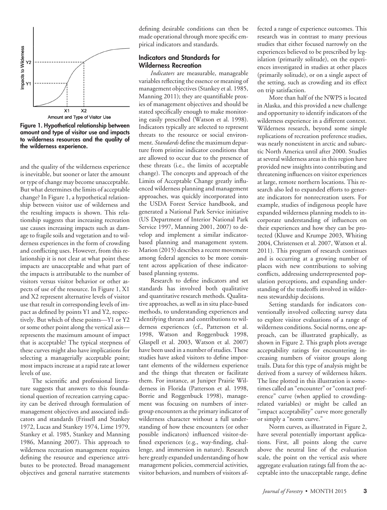

**Figure 1. Hypothetical relationship between amount and type of visitor use and impacts to wilderness resources and the quality of the wilderness experience.**

and the quality of the wilderness experience is inevitable, but sooner or later the amount or type of change may become unacceptable. But what determines the limits of acceptable change? In Figure 1, a hypothetical relationship between visitor use of wilderness and the resulting impacts is shown. This relationship suggests that increasing recreation use causes increasing impacts such as damage to fragile soils and vegetation and to wilderness experiences in the form of crowding and conflicting uses. However, from this relationship it is not clear at what point these impacts are unacceptable and what part of the impacts is attributable to the number of visitors versus visitor behavior or other aspects of use of the resource. In Figure 1, X1 and X2 represent alternative levels of visitor use that result in corresponding levels of impact as defined by points Y1 and Y2, respectively. But which of these points—Y1 or Y2 or some other point along the vertical axis represents the maximum amount of impact that is acceptable? The typical steepness of these curves might also have implications for selecting a managerially acceptable point; most impacts increase at a rapid rate at lower levels of use.

The scientific and professional literature suggests that answers to this foundational question of recreation carrying capacity can be derived through formulation of management objectives and associated indicators and standards (Frissell and Stankey 1972, Lucas and Stankey 1974, Lime 1979, Stankey et al. 1985, Stankey and Manning 1986, Manning 2007). This approach to wilderness recreation management requires defining the resource and experience attributes to be protected. Broad management objectives and general narrative statements defining desirable conditions can then be made operational through more specific empirical indicators and standards.

## **Indicators and Standards for Wilderness Recreation**

*Indicators* are measurable, manageable variables reflecting the essence or meaning of management objectives (Stankey et al. 1985, Manning 2011); they are quantifiable proxies of management objectives and should be stated specifically enough to make monitoring easily prescribed (Watson et al. 1998). Indicators typically are selected to represent threats to the resource or social environment. *Standards* define the maximum departure from pristine indicator conditions that are allowed to occur due to the presence of these threats (i.e., the limits of acceptable change). The concepts and approach of the Limits of Acceptable Change greatly influenced wilderness planning and management approaches, was quickly incorporated into the USDA Forest Service handbook, and generated a National Park Service initiative (US Department of Interior National Park Service 1997, Manning 2001, 2007) to develop and implement a similar indicatorbased planning and management system. Marion (2015) describes a recent movement among federal agencies to be more consistent across application of these indicatorbased planning systems.

Research to define indicators and set standards has involved both qualitative and quantitative research methods. Qualitative approaches, as well as in situ place-based methods, to understanding experiences and identifying threats and contributions to wilderness experiences (cf., Patterson et al. 1998, Watson and Roggenbuck 1998, Glaspell et al. 2003, Watson et al. 2007) have been used in a number of studies. These studies have asked visitors to define important elements of the wilderness experience and the things that threaten or facilitate them. For instance, at Juniper Prairie Wilderness in Florida (Patterson et al. 1998, Borrie and Roggenbuck 1998), management was focusing on numbers of intergroup encounters as the primary indicator of wilderness character without a full understanding of how these encounters (or other possible indicators) influenced visitor-defined experiences (e.g., way-finding, challenge, and immersion in nature). Research here greatly expanded understanding of how management policies, commercial activities, visitor behaviors, and numbers of visitors affected a range of experience outcomes. This research was in contrast to many previous studies that either focused narrowly on the experiences believed to be prescribed by legislation (primarily solitude), on the experiences investigated in studies at other places (primarily solitude), or on a single aspect of the setting, such as crowding and its effect on trip satisfaction.

More than half of the NWPS is located in Alaska, and this provided a new challenge and opportunity to identify indicators of the wilderness experience in a different context. Wilderness research, beyond some simple replications of recreation preference studies, was nearly nonexistent in arctic and subarctic North America until after 2000. Studies at several wilderness areas in this region have provided new insights into contributing and threatening influences on visitor experiences at large, remote northern locations. This research also led to expanded efforts to generate indicators for nonrecreation users. For example, studies of indigenous people have expanded wilderness planning models to incorporate understanding of influences on their experiences and how they can be protected (Kluwe and Krumpe 2003, Whiting 2004, Christensen et al. 2007, Watson et al. 2011). This program of research continues and is occurring at a growing number of places with new contributions to solving conflicts, addressing underrepresented population perceptions, and expanding understanding of the tradeoffs involved in wilderness stewardship decisions.

Setting standards for indicators conventionally involved collecting survey data to explore visitor evaluations of a range of wilderness conditions. Social norms, one approach, can be illustrated graphically, as shown in Figure 2. This graph plots average acceptability ratings for encountering increasing numbers of visitor groups along trails. Data for this type of analysis might be derived from a survey of wilderness hikers. The line plotted in this illustration is sometimes called an "encounter" or "contact preference" curve (when applied to crowdingrelated variables) or might be called an "impact acceptability" curve more generally or simply a "norm curve."

Norm curves, as illustrated in Figure 2, have several potentially important applications. First, all points along the curve above the neutral line of the evaluation scale, the point on the vertical axis where aggregate evaluation ratings fall from the acceptable into the unacceptable range, define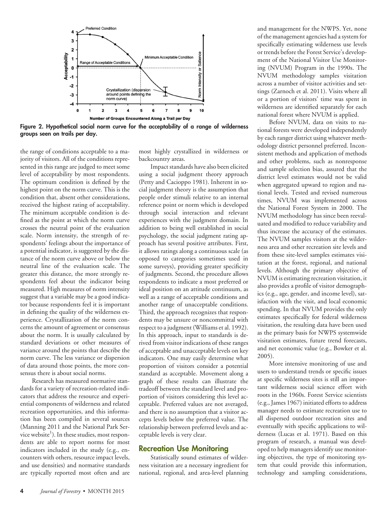

**Figure 2. Hypothetical social norm curve for the acceptability of a range of wilderness groups seen on trails per day.**

the range of conditions acceptable to a majority of visitors. All of the conditions represented in this range are judged to meet some level of acceptability by most respondents. The optimum condition is defined by the highest point on the norm curve. This is the condition that, absent other considerations, received the highest rating of acceptability. The minimum acceptable condition is defined as the point at which the norm curve crosses the neutral point of the evaluation scale. Norm intensity, the strength of respondents' feelings about the importance of a potential indicator, is suggested by the distance of the norm curve above or below the neutral line of the evaluation scale. The greater this distance, the more strongly respondents feel about the indicator being measured. High measures of norm intensity suggest that a variable may be a good indicator because respondents feel it is important in defining the quality of the wilderness experience. Crystallization of the norm concerns the amount of agreement or consensus about the norm. It is usually calculated by standard deviations or other measures of variance around the points that describe the norm curve. The less variance or dispersion of data around those points, the more consensus there is about social norms.

Research has measured normative standards for a variety of recreation-related indicators that address the resource and experiential components of wilderness and related recreation opportunities, and this information has been compiled in several sources (Manning 2011 and the National Park Service website<sup>1</sup>). In these studies, most respondents are able to report norms for most indicators included in the study (e.g., encounters with others, resource impact levels, and use densities) and normative standards are typically reported most often and are

most highly crystallized in wilderness or backcountry areas.

Impact standards have also been elicited using a social judgment theory approach (Petty and Cacioppo 1981). Inherent in social judgment theory is the assumption that people order stimuli relative to an internal reference point or norm which is developed through social interaction and relevant experiences with the judgment domain. In addition to being well established in social psychology, the social judgment rating approach has several positive attributes. First, it allows ratings along a continuous scale (as opposed to categories sometimes used in some surveys), providing greater specificity of judgments. Second, the procedure allows respondents to indicate a most preferred or ideal position on an attitude continuum, as well as a range of acceptable conditions and another range of unacceptable conditions. Third, the approach recognizes that respondents may be unsure or noncommittal with respect to a judgment (Williams et al. 1992). In this approach, input to standards is derived from visitor indications of these ranges of acceptable and unacceptable levels on key indicators. One may easily determine what proportion of visitors consider a potential standard as acceptable. Movement along a graph of these results can illustrate the tradeoff between the standard level and proportion of visitors considering this level acceptable. Preferred values are not averaged, and there is no assumption that a visitor accepts levels below the preferred value. The relationship between preferred levels and acceptable levels is very clear.

## **Recreation Use Monitoring**

Statistically sound estimates of wilderness visitation are a necessary ingredient for national, regional, and area-level planning and management for the NWPS. Yet, none of the management agencies had a system for specifically estimating wilderness use levels or trends before the Forest Service's development of the National Visitor Use Monitoring (NVUM) Program in the 1990s. The NVUM methodology samples visitation across a number of visitor activities and settings (Zarnoch et al. 2011). Visits where all or a portion of visitors' time was spent in wilderness are identified separately for each national forest where NVUM is applied.

Before NVUM, data on visits to national forests were developed independently by each ranger district using whatever methodology district personnel preferred. Inconsistent methods and application of methods and other problems, such as nonresponse and sample selection bias, assured that the district level estimates would not be valid when aggregated upward to region and national levels. Tested and revised numerous times, NVUM was implemented across the National Forest System in 2000. The NVUM methodology has since been reevaluated and modified to reduce variability and thus increase the accuracy of the estimates. The NVUM samples visitors at the wilderness area and other recreation site levels and from these site-level samples estimates visitation at the forest, regional, and national levels. Although the primary objective of NVUM is estimating recreation visitation, it also provides a profile of visitor demographics (e.g., age, gender, and income level), satisfaction with the visit, and local economic spending. In that NVUM provides the only estimates specifically for federal wilderness visitation, the resulting data have been used as the primary basis for NWPS systemwide visitation estimates, future trend forecasts, and net economic value (e.g., Bowker et al. 2005).

More intensive monitoring of use and users to understand trends or specific issues at specific wilderness sites is still an important wilderness social science effort with roots in the 1960s. Forest Service scientists (e.g., James 1967) initiated efforts to address manager needs to estimate recreation use to all dispersed outdoor recreation sites and eventually with specific applications to wilderness (Lucas et al. 1971). Based on this program of research, a manual was developed to help managers identify use monitoring objectives, the type of monitoring system that could provide this information, technology and sampling considerations,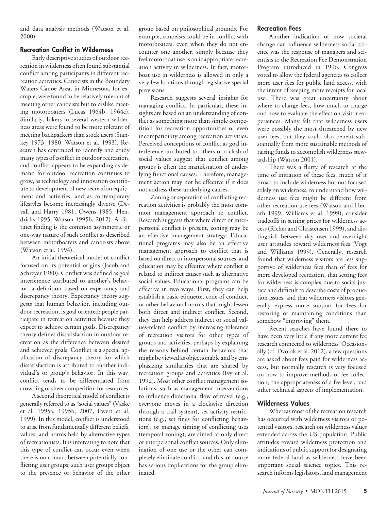and data analysis methods (Watson et al. 2000).

# **Recreation Conflict in Wilderness**

Early descriptive studies of outdoor recreation in wilderness often found substantial conflict among participants in different recreation activities. Canoeists in the Boundary Waters Canoe Area, in Minnesota, for example, were found to be relatively tolerant of meeting other canoeists but to dislike meeting motorboaters (Lucas 1964b, 1964c). Similarly, hikers in several western wilderness areas were found to be more tolerant of meeting backpackers than stock users (Stankey 1973, 1980, Watson et al. 1993). Research has continued to identify and study many types of conflict in outdoor recreation, and conflict appears to be expanding as demand for outdoor recreation continues to grow, as technology and innovation contribute to development of new recreation equipment and activities, and as contemporary lifestyles become increasingly diverse (Devall and Harry 1981, Owens 1985, Hendricks 1995, Watson 1995b, 2012). A distinct finding is the common asymmetric or one-way nature of such conflict as described between motorboaters and canoeists above (Watson et al. 1994).

An initial theoretical model of conflict focused on its potential origins (Jacob and Schreyer 1980). Conflict was defined as goal interference attributed to another's behavior, a definition based on expectancy and discrepancy theory. Expectancy theory suggests that human behavior, including outdoor recreation, is goal oriented: people participate in recreation activities because they expect to achieve certain goals. Discrepancy theory defines dissatisfaction in outdoor recreation as the difference between desired and achieved goals. Conflict is a special application of discrepancy theory for which dissatisfaction is attributed to another individual's or group's behavior. In this way, conflict tends to be differentiated from crowding or sheer competition for resources.

A second theoretical model of conflict is generally referred to as "social values" (Vaske et al. 1995a, 1995b, 2007, Ewert et al. 1999). In this model, conflict is understood to arise from fundamentally different beliefs, values, and norms held by alternative types of recreationists. It is interesting to note that this type of conflict can occur even when there is no contact between potentially conflicting user groups; such user groups object to the presence or behavior of the other group based on philosophical grounds. For example, canoeists could be in conflict with motorboaters, even when they do not encounter one another, simply because they feel motorboat use is an inappropriate recreation activity in wilderness. In fact, motorboat use in wilderness is allowed in only a very few locations through legislative special provisions.

Research suggests several insights for managing conflict. In particular, these insights are based on an understanding of conflict as something more than simple competition for recreation opportunities or even incompatibility among recreation activities. Perceived conceptions of conflict as goal interference attributed to others or a clash of social values suggest that conflict among groups is often the manifestation of underlying functional causes. Therefore, management action may not be effective if it does not address these underlying causes.

Zoning or separation of conflicting recreation activities is probably the most common management approach to conflict. Research suggests that where direct or interpersonal conflict is present, zoning may be an effective management strategy. Educational programs may also be an effective management approach to conflict that is based on direct or interpersonal sources, and education may be effective where conflict is related to indirect causes such as alternative social values. Educational programs can be effective in two ways. First, they can help establish a basic etiquette, code of conduct, or other behavioral norms that might lessen both direct and indirect conflict. Second, they can help address indirect or social values-related conflict by increasing tolerance of recreation visitors for other types of groups and activities, perhaps by explaining the reasons behind certain behaviors that might be viewed as objectionable and by emphasizing similarities that are shared by recreation groups and activities (Ivy et al. 1992). Most other conflict management solutions, such as management interventions to influence directional flow of travel (e.g., everyone moves in a clockwise direction through a trail system), set activity restrictions (e.g., set fines for conflicting behaviors), or manage timing of conflicting uses (temporal zoning), are aimed at only direct or interpersonal conflict sources. Only elimination of one use or the other can completely eliminate conflict, and this, of course has serious implications for the group eliminated.

#### **Recreation Fees**

Another indication of how societal change can influence wilderness social science was the response of managers and scientists to the Recreation Fee Demonstration Program introduced in 1996. Congress voted to allow the federal agencies to collect more user fees for public land access, with the intent of keeping more receipts for local use. There was great uncertainty about where to charge fees, how much to charge and how to evaluate the effect on visitor experiences. Many felt that wilderness users were possibly the most threatened by new user fees, but they could also benefit substantially from more sustainable methods of raising funds to accomplish wilderness stewardship (Watson 2001).

There was a flurry of research at the time of initiation of these fees, much of it broad to include wilderness but not focused solely on wilderness, to understand how wilderness use fees might be different from other recreation use fees (Watson and Herath 1999, Williams et al. 1999), consider tradeoffs in setting prices for wilderness access (Richer and Christensen 1999), and distinguish between day user and overnight user attitudes toward wilderness fees (Vogt and Williams 1999). Generally, research found that wilderness visitors are less supportive of wilderness fees than of fees for more developed recreation, that setting fees for wilderness is complex due to social justice and difficult to describe costs of production issues, and that wilderness visitors generally express more support for fees for restoring or maintaining conditions than somehow "improving" them.

Recent searches have found there to have been very little if any more current fee research connected to wilderness. Occasionally (cf. Dvorak et al. 2012), a few questions are asked about fees paid for wilderness access, but normally research is very focused on how to improve methods of fee collection, the appropriateness of a fee level, and other technical aspects of implementation.

## **Wilderness Values**

Whereas most of the recreation research has occurred with wilderness visitors or potential visitors, research on wilderness values extended across the US population. Public attitudes toward wilderness protection and indications of public support for designating more federal land as wilderness have been important social science topics. This research informs legislators, land management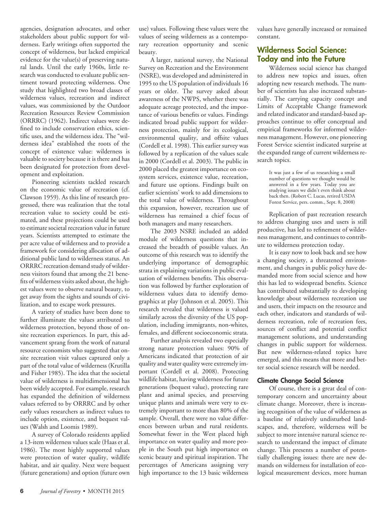agencies, designation advocates, and other stakeholders about public support for wilderness. Early writings often supported the concept of wilderness, but lacked empirical evidence for the value(s) of preserving natural lands. Until the early 1960s, little research was conducted to evaluate public sentiment toward protecting wilderness. One study that highlighted two broad classes of wilderness values, recreation and indirect values, was commissioned by the Outdoor Recreation Resources Review Commission (ORRRC) (1962). Indirect values were defined to include conservation ethics, scientific uses, and the wilderness idea. The "wilderness idea" established the roots of the concept of existence value: wilderness is valuable to society because it is there and has been designated for protection from development and exploitation.

Pioneering scientists tackled research on the economic value of recreation (cf. Clawson 1959). As this line of research progressed, there was realization that the total recreation value to society could be estimated, and these projections could be used to estimate societal recreation value in future years. Scientists attempted to estimate the per acre value of wilderness and to provide a framework for considering allocation of additional public land to wilderness status. An ORRRC recreation demand study of wilderness visitors found that among the 21 benefits of wilderness visits asked about, the highest values were to observe natural beauty, to get away from the sights and sounds of civilization, and to escape work pressures.

A variety of studies have been done to further illuminate the values attributed to wilderness protection, beyond those of onsite recreation experiences. In part, this advancement sprang from the work of natural resource economists who suggested that onsite recreation visit values captured only a part of the total value of wilderness (Krutilla and Fisher 1985). The idea that the societal value of wilderness is multidimensional has been widely accepted. For example, research has expanded the definition of wilderness values referred to by ORRRC and by other early values researchers as indirect values to include option, existence, and bequest values (Walsh and Loomis 1989).

A survey of Colorado residents applied a 13-item wilderness values scale (Haas et al. 1986). The most highly supported values were protection of water quality, wildlife habitat, and air quality. Next were bequest (future generations) and option (future own

use) values. Following these values were the values of seeing wilderness as a contemporary recreation opportunity and scenic beauty.

A larger, national survey, the National Survey on Recreation and the Environment (NSRE), was developed and administered in 1995 to the US population of individuals 16 years or older. The survey asked about awareness of the NWPS, whether there was adequate acreage protected, and the importance of various benefits or values. Findings indicated broad public support for wilderness protection, mainly for its ecological, environmental quality, and offsite values (Cordell et al. 1998). This earlier survey was followed by a replication of the values scale in 2000 (Cordell et al. 2003). The public in 2000 placed the greatest importance on ecosystem services, existence value, recreation, and future use options. Findings built on earlier scientists' work to add dimensions to the total value of wilderness. Throughout this expansion, however, recreation use of wilderness has remained a chief focus of both managers and many researchers.

The 2003 NSRE included an added module of wilderness questions that increased the breadth of possible values. An outcome of this research was to identify the underlying importance of demographic strata in explaining variations in public evaluation of wilderness benefits. This observation was followed by further exploration of wilderness values data to identify demographics at play (Johnson et al. 2005). This research revealed that wilderness is valued similarly across the diversity of the US population, including immigrants, non-whites, females, and different socioeconomic strata.

Further analysis revealed two especially strong nature protection values: 90% of Americans indicated that protection of air quality and water quality were extremely important (Cordell et al. 2008). Protecting wildlife habitat, having wilderness for future generations (bequest value), protecting rare plant and animal species, and preserving unique plants and animals were very to extremely important to more than 80% of the sample. Overall, there were no value differences between urban and rural residents. Somewhat fewer in the West placed high importance on water quality and more people in the South put high importance on scenic beauty and spiritual inspiration. The percentages of Americans assigning very high importance to the 13 basic wilderness

values have generally increased or remained constant.

# **Wilderness Social Science: Today and into the Future**

Wilderness social science has changed to address new topics and issues, often adopting new research methods. The number of scientists has also increased substantially. The carrying capacity concept and Limits of Acceptable Change framework and related indicator and standard-based approaches continue to offer conceptual and empirical frameworks for informed wilderness management. However, one pioneering Forest Service scientist indicated surprise at the expanded range of current wilderness research topics.

> It was just a few of us researching a small number of questions we thought would be answered in a few years. Today you are studying issues we didn't even think about back then. (Robert C. Lucas, retired USDA Forest Service, pers. comm., Sept. 8, 2008)

Replication of past recreation research to address changing uses and users is still productive, has led to refinement of wilderness management, and continues to contribute to wilderness protection today.

It is easy now to look back and see how a changing society, a threatened environment, and changes in public policy have demanded more from social science and how this has led to widespread benefits. Science has contributed substantially to developing knowledge about wilderness recreation use and users, their impacts on the resource and each other, indicators and standards of wilderness recreation, role of recreation fees, sources of conflict and potential conflict management solutions, and understanding changes in public support for wilderness. But new wilderness-related topics have emerged, and this means that more and better social science research will be needed.

# **Climate Change Social Science**

Of course, there is a great deal of contemporary concern and uncertainty about climate change. Moreover, there is increasing recognition of the value of wilderness as a baseline of relatively undisturbed landscapes, and, therefore, wilderness will be subject to more intensive natural science research to understand the impact of climate change. This presents a number of potentially challenging issues: there are new demands on wilderness for installation of ecological measurement devices, more human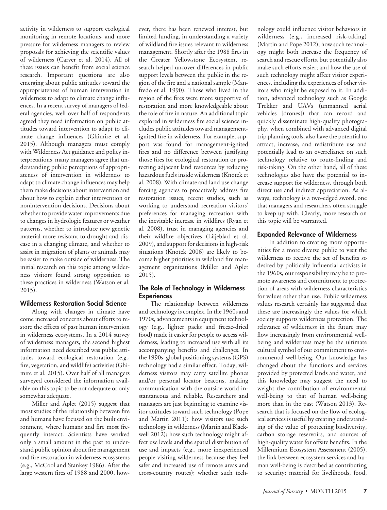activity in wilderness to support ecological monitoring in remote locations, and more pressure for wilderness managers to review proposals for achieving the scientific values of wilderness (Carver et al. 2014). All of these issues can benefit from social science research. Important questions are also emerging about public attitudes toward the appropriateness of human intervention in wilderness to adapt to climate change influences. In a recent survey of managers of federal agencies, well over half of respondents agreed they need information on public attitudes toward intervention to adapt to climate change influences (Ghimire et al. 2015). Although managers must comply with Wilderness Act guidance and policy interpretations, many managers agree that understanding public perceptions of appropriateness of intervention in wilderness to adapt to climate change influences may help them make decisions about intervention and about how to explain either intervention or nonintervention decisions. Decisions about whether to provide water improvements due to changes in hydrologic features or weather patterns, whether to introduce new genetic material more resistant to drought and disease in a changing climate, and whether to assist in migration of plants or animals may be easier to make outside of wilderness. The initial research on this topic among wilderness visitors found strong opposition to these practices in wilderness (Watson et al. 2015).

## **Wilderness Restoration Social Science**

Along with changes in climate have come increased concerns about efforts to restore the effects of past human intervention in wilderness ecosystems. In a 2014 survey of wilderness managers, the second highest information need described was public attitudes toward ecological restoration (e.g., fire, vegetation, and wildlife) activities (Ghimire et al. 2015). Over half of all managers surveyed considered the information available on this topic to be not adequate or only somewhat adequate.

Miller and Aplet (2015) suggest that most studies of the relationship between fire and humans have focused on the built environment, where humans and fire most frequently interact. Scientists have worked only a small amount in the past to understand public opinion about fire management and fire restoration in wilderness ecosystems (e.g., McCool and Stankey 1986). After the large western fires of 1988 and 2000, how-

ever, there has been renewed interest, but limited funding, in understanding a variety of wildland fire issues relevant to wilderness management. Shortly after the 1988 fires in the Greater Yellowstone Ecosystem, research helped uncover differences in public support levels between the public in the region of the fire and a national sample (Manfredo et al. 1990). Those who lived in the region of the fires were more supportive of restoration and more knowledgeable about the role of fire in nature. An additional topic explored in wilderness fire social science includes public attitudes toward managementignited fire in wilderness. For example, support was found for management-ignited fires and no difference between justifying those fires for ecological restoration or protecting adjacent land resources by reducing hazardous fuels inside wilderness (Knotek et al. 2008). With climate and land use change forcing agencies to proactively address fire restoration issues, recent studies, such as working to understand recreation visitors' preferences for managing recreation with the inevitable increase in wildfires (Ryan et al. 2008), trust in managing agencies and their wildfire objectives (Liljeblad et al. 2009), and support for decisions in high-risk situations (Knotek 2006) are likely to become higher priorities in wildland fire management organizations (Miller and Aplet 2015).

## **The Role of Technology in Wilderness Experiences**

The relationship between wilderness and technology is complex. In the 1960s and 1970s, advancements in equipment technology (e.g., lighter packs and freeze-dried food) made it easier for people to access wilderness, leading to increased use with all its accompanying benefits and challenges. In the 1990s, global positioning systems (GPS) technology had a similar effect. Today, wilderness visitors may carry satellite phones and/or personal locator beacons, making communication with the outside world instantaneous and reliable. Researchers and managers are just beginning to examine visitor attitudes toward such technology (Pope and Martin 2011): how visitors use such technology in wilderness (Martin and Blackwell 2012); how such technology might affect use levels and the spatial distribution of use and impacts (e.g., more inexperienced people visiting wilderness because they feel safer and increased use of remote areas and cross-country routes); whether such tech-

nology could influence visitor behaviors in wilderness (e.g., increased risk-taking) (Martin and Pope 2012); how such technology might both increase the frequency of search and rescue efforts, but potentially also make such efforts easier; and how the use of such technology might affect visitor experiences, including the experiences of other visitors who might be exposed to it. In addition, advanced technology such as Google Trekker and UAVs (unmanned aerial vehicles [drones]) that can record and quickly disseminate high-quality photography, when combined with advanced digital trip planning tools, also have the potential to attract, increase, and redistribute use and potentially lead to an overreliance on such technology relative to route-finding and risk-taking. On the other hand, all of these technologies also have the potential to increase support for wilderness, through both direct use and indirect appreciation. As always, technology is a two-edged sword, one that managers and researchers often struggle to keep up with. Clearly, more research on this topic will be warranted.

### **Expanded Relevance of Wilderness**

In addition to creating more opportunities for a more diverse public to visit the wilderness to receive the set of benefits so desired by politically influential activists in the 1960s, our responsibility may be to promote awareness and commitment to protection of areas with wilderness characteristics for values other than use. Public wilderness values research certainly has suggested that these are increasingly the values for which society supports wilderness protection. The relevance of wilderness in the future may flow increasingly from environmental wellbeing and wilderness may be the ultimate cultural symbol of our commitment to environmental well-being. Our knowledge has changed about the functions and services provided by protected lands and water, and this knowledge may suggest the need to weight the contribution of environmental well-being to that of human well-being more than in the past (Watson 2013). Research that is focused on the flow of ecological services is useful by creating understanding of the value of protecting biodiversity, carbon storage reservoirs, and sources of high-quality water for offsite benefits. In the Millennium Ecosystem Assessment (2005), the link between ecosystem services and human well-being is described as contributing to security; material for livelihoods, food,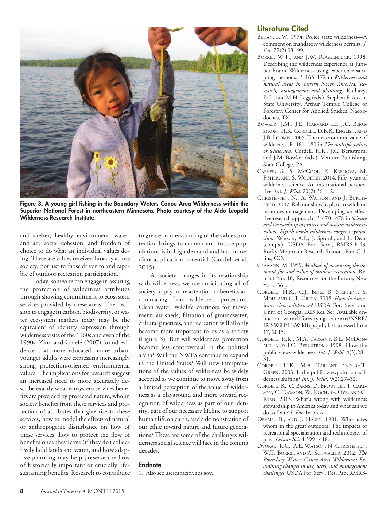

**Figure 3. A young girl fishing in the Boundary Waters Canoe Area Wilderness within the Superior National Forest in northeastern Minnesota. Photo courtesy of the Aldo Leopold Wilderness Research Institute.**

and shelter; healthy environment, water, and air; social cohesion; and freedom of choice to do what an individual values doing. These are values received broadly across society, not just to those driven to and capable of outdoor recreation participation.

Today, someone can engage in assuring the protection of wilderness attributes through showing commitment to ecosystem services provided by these areas. The decision to engage in carbon, biodiversity, or water ecosystem markets today may be the equivalent of identity expression through wilderness visits of the 1960s and even of the 1990s. Zinn and Graefe (2007) found evidence that more educated, more urban, younger adults were expressing increasingly strong protection-oriented environmental values. The implications for research suggest an increased need to more accurately describe exactly what ecosystem services benefits are provided by protected nature, who in society benefits from these services and protection of attributes that give rise to these services, how to model the effects of natural or anthropogenic disturbance on flow of these services, how to protect the flow of benefits once they leave (if they do) collectively held lands and water, and how adaptive planning may help preserve the flow of historically important or crucially lifesustaining benefits. Research to contribute to greater understanding of the values protection brings to current and future populations is in high demand and has immediate application potential (Cordell et al. 2015).

As society changes in its relationship with wilderness, we are anticipating all of society to pay more attention to benefits accumulating from wilderness protection. Clean water, wildlife corridors for movement, air sheds, filtration of groundwater, cultural practices, and recreation will all only become more important to us as a society (Figure 3). But will wilderness protection become less controversial in the political arena? Will the NWPS continue to expand in the United States? Will new interpretations of the values of wilderness be widely accepted as we continue to move away from a limited perception of the value of wilderness as a playground and more toward recognition of wilderness as part of our identity, part of our necessary lifeline to support human life on earth, and a demonstration of our ethic toward nature and future generations? These are some of the challenges wilderness social science will face in the coming decades.

# **Endnote**

1. Also see [usercapacity.nps.gov.](http://usercapacity.nps.gov)

# **Literature Cited**

- BEHAN, R.W. 1974. Police state wilderness—A comment on mandatory wilderness permits. *J. For.* 72(2):98–99.
- BORRIE, W.T., AND J.W. ROGGENBUCK. 1998. Describing the wilderness experience at Juniper Prairie Wilderness using experience sampling methods. P. 165–172 in *Wilderness and natural areas in eastern North America: Research, management and planning*, Kulhavy, D.L., and M.H. Legg (eds.). Stephen F. Austin State University, Arthur Temple College of Forestry, Center for Applied Studies, Nacogdoches, TX.
- BOWKER, J.M., J.E. HARVARD III, J.C. BERG-STROM, H.K. CORDELL, D.B.K. ENGLISH, AND J.B. LOOMIS. 2005. The net economic value of wilderness. P. 161–180 in *The multiple values of wilderness*, Cordell, H.K., J.C. Bergstrom, and J.M. Bowker (eds.). Venture Publishing, State College, PA.
- CARVER, S., S. MCCOOL, Z. KRENOVA, M. FISHER, AND S. WOODLEY. 2014. Fifty years of wilderness science: An international perspective. *Int. J. Wild.* 20(2):36–42.
- CHRISTENSEN, N., A. WATSON, AND J. BURCH-FIELD. 2007. Relationships to place in wildland resources management: Developing an effective research approach. P. 470–478 in *Science and stewardship to protect and sustain wilderness values: Eighth world wilderness congress symposium*, Watson, A.E., J. Sproull, and L. Dean (comps.). USDA For. Serv., RMRS-P-49, Rocky Mountain Research Station, Fort Collins, CO.
- CLAWSON, M. 1959. *Methods of measuring the demand for and value of outdoor recreation*. Reprint No. 10, Resources for the Future, New York. 36 p.
- CORDELL, H.K., C.J. BETZ, B. STEPHENS, S. MOU, AND G.T. GREEN. 2008. *How do Americans view wilderness?* USDA For. Serv. and Univ. of Georgia, IRIS Res. Ser. Available online at [warnell.forestry.uga.edu/nrrt/NSRE/](http://warnell.forestry.uga.edu/nrrt/NSRE/IRISWild/IrisWild1rpt.pdf) [IRISWild/IrisWild1rpt.pdf;](http://warnell.forestry.uga.edu/nrrt/NSRE/IRISWild/IrisWild1rpt.pdf) last accessed June 17, 2015.
- CORDELL, H.K., M.A. TARRANT, B.L. MCDON-ALD, AND J.C. BERGSTROM. 1998. How the public views wilderness. *Int. J. Wild.* 4(3):28– 31.
- CORDELL, H.K., M.A. TARRANT, AND G.T. GREEN. 2003. Is the public viewpoint on wilderness shifting? *Int. J. Wild.* 9(2):27–32.
- CORDELL, K., C. BARNS, D. BROWNLIE, T. CARL-SON, C. DAWSON, W. KOCH, G. OYE, AND C. RYAN. 2015. What's wrong with wilderness stewardship in America today and what can we do to fix it? *J. For.* In press.
- DEVALL, B., AND J. HARRY. 1981. Who hates whom in the great outdoors: The impacts of recreational specialization and technologies of play. *Leisure Sci*. 4:399–418.
- DVORAK, R.G., A.E. WATSON, N. CHRISTENSEN, W.T. BORRIE, AND A. SCHWALLER. 2012. *The Boundary Waters Canoe Area Wilderness: Examining changes in use, users, and management challenges*. USDA For. Serv., Res. Pap. RMRS-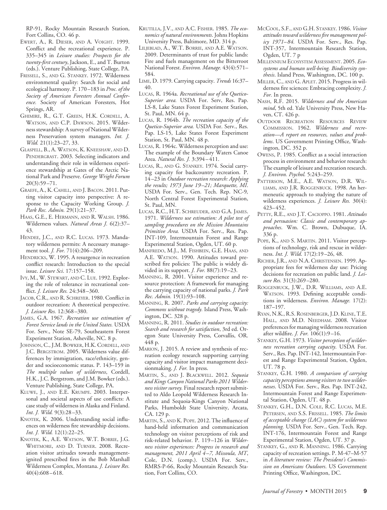RP-91, Rocky Mountain Research Station, Fort Collins, CO. 46 p.

- EWERT, A., R. DIESER, AND A. VOIGHT. 1999. Conflict and the recreational experience. P. 335–345 in *Leisure studies: Prospects for the twenty-first century*, Jackson, E., and T. Burton (eds.). Venture Publishing, State College, PA.
- FRISSELL, S., AND G. STANKEY. 1972. Wilderness environmental quality: Search for social and ecological harmony. P. 170–183 in *Proc. of the Society of American Foresters Annual Conference.* Society of American Foresters, Hot Springs, AR.
- GHIMIRE, R., G.T. GREEN, H.K. CORDELL, A. WATSON, AND C.P. DAWSON. 2015. Wilderness stewardship: A survey of National Wilderness Preservation system managers. *Int. J. Wild.* 21(1):23–27, 33.
- GLASPELL, B., A. WATSON, K. KNEESHAW, AND D. PENDERGRAST. 2003. Selecting indicators and understanding their role in wilderness experience stewardship at Gates of the Arctic National Park and Preserve. *George Wright Forum* 20(3):59–71.
- GRAEFE, A., K. CAHILL, AND J. BACON. 2011. Putting visitor capacity into perspective: A response to the Capacity Working Group. *J. Park Rec. Admin.* 29(1):21–37.
- HAAS, G.E., E. HERMANN, AND R. WALSH. 1986. Wilderness values. *Natural Areas J.* 6(2):37– 43.
- HENDEE, J.C., AND R.C. LUCAS. 1973. Mandatory wilderness permits: A necessary management tool. *J. For.* 71(4):206–209.
- HENDRICKS, W. 1995. A resurgence in recreation conflict research: Introduction to the special issue. *Leisure Sci*. 17:157–158.
- IVY, M., W. STEWART, AND C. LUE. 1992. Exploring the role of tolerance in recreational conflict. *J. Leisure Res.* 24:348–360.
- JACOB, C.R., AND R. SCHREYER. 1980. Conflict in outdoor recreation: A theoretical perspective. *J. Leisure Res.* 12:368–380.
- JAMES, G.A. 1967. *Recreation use estimation of Forest Service lands in the United States.* USDA For. Serv., Note SE-79, Southeastern Forest Experiment Station, Asheville, NC. 8 p.
- JOHNSON, C., J.M. BOWKER, H.K. CORDELL, AND J.C. BERGSTROM. 2005. Wilderness value differences by immigration, race/ethnicity, gender and socioeconomic status. P. 143–159 in *The multiple values of wilderness*, Cordell, H.K., J.C. Bergstrom, and J.M. Bowker (eds.). Venture Publishing, State College, PA.
- KLUWE, J., AND E.E. KRUMPE. 2003. Interpersonal and societal aspects of use conflicts: A case study of wilderness in Alaska and Finland. *Int. J. Wild.* 9(3):28–33.
- KNOTEK, K. 2006. Understanding social influences on wilderness fire stewardship decisions. *Int. J. Wild.* 12(1):22–25.
- KNOTEK, K., A.E. WATSON, W.T. BORRIE, J.G. WHITMORE, AND D. TURNER. 2008. Recreation visitor attitudes towards managementignited prescribed fires in the Bob Marshall Wilderness Complex, Montana. *J. Leisure Res.* 40(4):608–618.
- KRUTILLA, J.V., AND A.C. FISHER. 1985. *The economics of natural environments*. Johns Hopkins University Press, Baltimore, MD. 314 p.
- LILJEBLAD, A., W.T. BORRIE, AND A.E. WATSON. 2009. Determinants of trust for public lands: Fire and fuels management on the Bitterroot National Forest. *Environ. Manage.* 43(4):571– 584.
- LIME, D. 1979. Carrying capacity. *Trends* 16:37– 40.
- LUCAS, R. 1964a. *Recreational use of the Quetico-Superior area.* USDA For. Serv, Res. Pap. LS-8, Lake States Forest Experiment Station, St. Paul, MN. 64 p.
- LUCAS, R. 1964b. *The recreation capacity of the Quetico-Superior area.* USDA For. Serv., Res. Pap. LS-15, Lake States Forest Experiment Station, St. Paul, MN. 48 p.
- LUCAS, R. 1964c. Wilderness perception and use: The example of the Boundary Waters Canoe Area. *Natural Res. J.* 3:394–411.
- LUCAS, R., AND G. STANKEY. 1974. Social carrying capacity for backcountry recreation. P. 14–23 in *Outdoor recreation research: Applying the results; 1973 June 19 –21; Marquette, MI*. USDA For. Serv., Gen. Tech. Rep. NC-9*,* North Central Forest Experimental Station, St. Paul, MN.
- LUCAS, R.C., H.T. SCHREUDER, AND G.A. JAMES. 1971. *Wilderness use estimation: A pilot test of sampling procedures on the Mission Mountains Primitive Area.* USDA For. Serv., Res. Pap. INT-109, Intermountain Forest and Range Experimental Station, Ogden, UT. 60 p.
- MANFREDO, M.J., M. FISHBEIN, G.E. HAAS, AND A.E. WATSON. 1990. Attitudes toward prescribed fire policies: The public is widely divided in its support. *J. For.* 88(7):19–23.
- MANNING, R. 2001. Visitor experience and resource protection: A framework for managing the carrying capacity of national parks. *J. Park Rec. Admin.* 19(1):93–108.
- MANNING, R. 2007. *Parks and carrying capacity: Commons without tragedy.* Island Press, Washington, DC. 328 p.
- MANNING, R. 2011. *Studies in outdoor recreation: Search and research for satisfaction*, 3rd ed. Oregon State University Press, Corvallis, OR. 448 p.
- MARION, J. 2015. A review and synthesis of recreation ecology research supporting carrying capacity and visitor impact management decisionmaking. *J. For.* In press.
- MARTIN, S., AND J. BLACKWELL. 2012. *Sequoia and Kings Canyon National Parks 2011 Wilderness visitor survey.* Final research report submitted to Aldo Leopold Wilderness Research Institute and Sequoia-Kings Canyon National Parks, Humboldt State University, Arcata, CA. 129 p.
- MARTIN, S., AND K. POPE. 2012. The influence of hand-held information and communication technology on visitor perceptions of risk and risk-related behavior. P. 119–126 in *Wilderness visitor experiences: Progress in research and management, 2011 April 4 –7, Missoula, MT*, Cole, D.N. (comp.). USDA For. Serv., RMRS-P-66, Rocky Mountain Research Station, Fort Collins, CO.
- MCCOOL, S.F., AND G.H. STANKEY. 1986. *Visitor attitudes toward wilderness fire management policy 1971– 84.* USDA For. Serv., Res. Pap. INT-357, Intermountain Research Station, Ogden, UT. 7 p
- MILLENNIUM ECOSYSTEM ASSESSMENT. 2005. *Ecosystems and human well-being. Biodiversity synthesis*. Island Press, Washington, DC. 100 p.
- MILLER, C., AND G. APLET. 2015. Progress in wilderness fire sciences: Embracing complexity. *J. For.* In press.
- NASH, R.F. 2015. *Wilderness and the American mind*, 5th ed. Yale University Press, New Haven, CT. 426 p.
- OUTDOOR RECREATION RESOURCES REVIEW COMMISSION. 1962. *Wilderness and recreation—A report on resources, values and problems*. US Government Printing Office, Washington, DC. 352 p.
- OWENS, P. 1985. Conflict as a social interaction process in environment and behavior research: The example of leisure and recreation research. *J. Environ. Psychol.* 5:243–259.
- PATTERSON, M.E., A.E. WATSON, D.R. WIL-LIAMS, AND J.R. ROGGENBUCK. 1998. An hermeneutic approach to studying the nature of wilderness experiences. *J. Leisure Res.* 30(4): 423–452.
- PETTY, R.E., AND J.T. CACIOPPO. 1981. *Attitudes and persuasion: Classic and contemporary approaches*. Wm. C. Brown, Dubuque, IA. 336 p.
- POPE, K., AND S. MARTIN. 2011. Visitor perceptions of technology, risk and rescue in wilderness. *Int. J. Wild*. 17(2):19–26, 48.
- RICHER, J.R., AND N.A. CHRISTENSEN. 1999. Appropriate fees for wilderness day use: Pricing decisions for recreation on public land. *J. Leisure Res.* 31(3):269–280.
- ROGGENBUCK, J.W., D.R. WILLIAMS, AND A.E. WATSON. 1993. Defining acceptable conditions in wilderness. *Environ. Manage.* 17(2): 187–197.
- RYAN, N.K., R.S. ROSENBERGER, J.D. KLINE, T.E. HALL, AND M.D. NEEDHAM. 2008. Visitor preferences for managing wilderness recreation after wildfire. *J. For.* 106(1):9–16.
- STANKEY, G.H. 1973. *Visitor perception of wilderness recreation carrying capacity*. USDA For. Serv., Res. Pap. INT-142, Intermountain Forest and Range Experimental Station, Ogden, UT. 78 p.
- STANKEY, G.H. 1980. *A comparison of carrying capacity perceptions among visitors to two wildernesses*. USDA For. Serv., Res. Pap. INT-242, Intermountain Forest and Range Experimental Station, Ogden, UT. 48 p.
- STANKEY, G.H., D.N. COLE, R.C. LUCAS, M.E. PETERSEN, AND S.S. FRISSELL. 1985. *The limits of acceptable change (LAC) system for wilderness planning.* USDA For. Serv., Gen. Tech. Rep. INT-176, Intermountain Forest and Range Experimental Station, Ogden, UT. 37 p.
- STANKEY, G., AND R. MANNING. 1986. Carrying capacity of recreation settings. P. M-47–M-57 in *A literature review: The President's Commission on Americans Outdoors*. US Government Printing Office, Washington, DC.